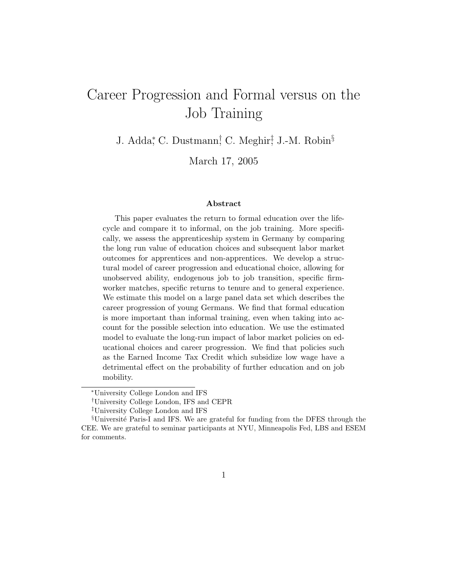# Career Progression and Formal versus on the Job Training

J. Adda,<sup>\*</sup> C. Dustmann<sup>†</sup> C. Meghir<sup>†</sup>, J.-M. Robin<sup>§</sup>

March 17, 2005

#### Abstract

This paper evaluates the return to formal education over the lifecycle and compare it to informal, on the job training. More specifically, we assess the apprenticeship system in Germany by comparing the long run value of education choices and subsequent labor market outcomes for apprentices and non-apprentices. We develop a structural model of career progression and educational choice, allowing for unobserved ability, endogenous job to job transition, specific firmworker matches, specific returns to tenure and to general experience. We estimate this model on a large panel data set which describes the career progression of young Germans. We find that formal education is more important than informal training, even when taking into account for the possible selection into education. We use the estimated model to evaluate the long-run impact of labor market policies on educational choices and career progression. We find that policies such as the Earned Income Tax Credit which subsidize low wage have a detrimental effect on the probability of further education and on job mobility.

<sup>∗</sup>University College London and IFS

<sup>†</sup>University College London, IFS and CEPR

<sup>‡</sup>University College London and IFS

<sup>&</sup>lt;sup>§</sup>Université Paris-I and IFS. We are grateful for funding from the DFES through the CEE. We are grateful to seminar participants at NYU, Minneapolis Fed, LBS and ESEM for comments.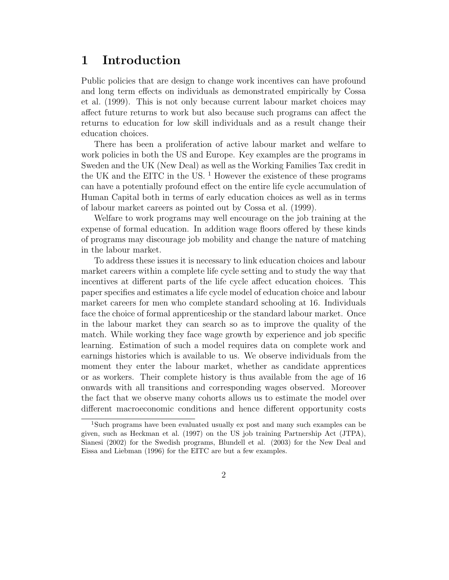## 1 Introduction

Public policies that are design to change work incentives can have profound and long term effects on individuals as demonstrated empirically by Cossa et al. (1999). This is not only because current labour market choices may affect future returns to work but also because such programs can affect the returns to education for low skill individuals and as a result change their education choices.

There has been a proliferation of active labour market and welfare to work policies in both the US and Europe. Key examples are the programs in Sweden and the UK (New Deal) as well as the Working Families Tax credit in the UK and the EITC in the US.<sup>1</sup> However the existence of these programs can have a potentially profound effect on the entire life cycle accumulation of Human Capital both in terms of early education choices as well as in terms of labour market careers as pointed out by Cossa et al. (1999).

Welfare to work programs may well encourage on the job training at the expense of formal education. In addition wage floors offered by these kinds of programs may discourage job mobility and change the nature of matching in the labour market.

To address these issues it is necessary to link education choices and labour market careers within a complete life cycle setting and to study the way that incentives at different parts of the life cycle affect education choices. This paper specifies and estimates a life cycle model of education choice and labour market careers for men who complete standard schooling at 16. Individuals face the choice of formal apprenticeship or the standard labour market. Once in the labour market they can search so as to improve the quality of the match. While working they face wage growth by experience and job specific learning. Estimation of such a model requires data on complete work and earnings histories which is available to us. We observe individuals from the moment they enter the labour market, whether as candidate apprentices or as workers. Their complete history is thus available from the age of 16 onwards with all transitions and corresponding wages observed. Moreover the fact that we observe many cohorts allows us to estimate the model over different macroeconomic conditions and hence different opportunity costs

<sup>1</sup>Such programs have been evaluated usually ex post and many such examples can be given, such as Heckman et al. (1997) on the US job training Partnership Act (JTPA), Sianesi (2002) for the Swedish programs, Blundell et al. (2003) for the New Deal and Eissa and Liebman (1996) for the EITC are but a few examples.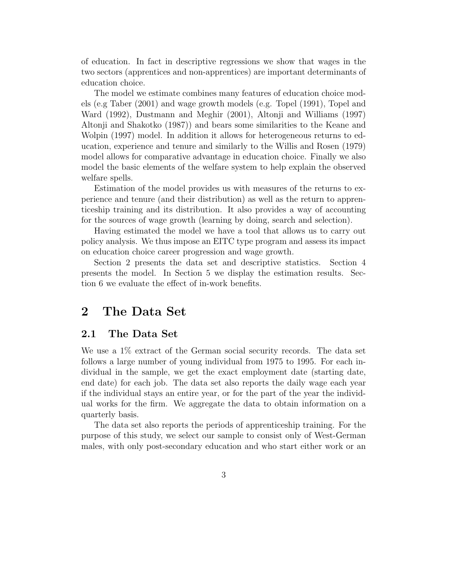of education. In fact in descriptive regressions we show that wages in the two sectors (apprentices and non-apprentices) are important determinants of education choice.

The model we estimate combines many features of education choice models (e.g Taber (2001) and wage growth models (e.g. Topel (1991), Topel and Ward (1992), Dustmann and Meghir (2001), Altonji and Williams (1997) Altonji and Shakotko (1987)) and bears some similarities to the Keane and Wolpin (1997) model. In addition it allows for heterogeneous returns to education, experience and tenure and similarly to the Willis and Rosen (1979) model allows for comparative advantage in education choice. Finally we also model the basic elements of the welfare system to help explain the observed welfare spells.

Estimation of the model provides us with measures of the returns to experience and tenure (and their distribution) as well as the return to apprenticeship training and its distribution. It also provides a way of accounting for the sources of wage growth (learning by doing, search and selection).

Having estimated the model we have a tool that allows us to carry out policy analysis. We thus impose an EITC type program and assess its impact on education choice career progression and wage growth.

Section 2 presents the data set and descriptive statistics. Section 4 presents the model. In Section 5 we display the estimation results. Section 6 we evaluate the effect of in-work benefits.

## 2 The Data Set

### 2.1 The Data Set

We use a 1% extract of the German social security records. The data set follows a large number of young individual from 1975 to 1995. For each individual in the sample, we get the exact employment date (starting date, end date) for each job. The data set also reports the daily wage each year if the individual stays an entire year, or for the part of the year the individual works for the firm. We aggregate the data to obtain information on a quarterly basis.

The data set also reports the periods of apprenticeship training. For the purpose of this study, we select our sample to consist only of West-German males, with only post-secondary education and who start either work or an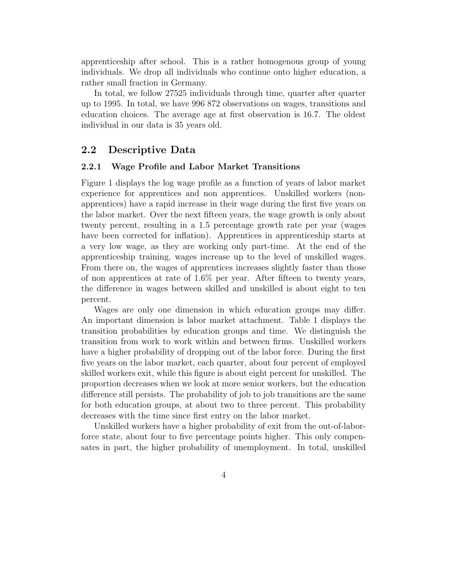apprenticeship after school. This is a rather homogenous group of young individuals. We drop all individuals who continue onto higher education, a rather small fraction in Germany.

In total, we follow 27525 individuals through time, quarter after quarter up to 1995. In total, we have 996 872 observations on wages, transitions and education choices. The average age at first observation is 16.7. The oldest individual in our data is 35 years old.

### 2.2 Descriptive Data

#### 2.2.1 Wage Profile and Labor Market Transitions

Figure 1 displays the log wage profile as a function of years of labor market experience for apprentices and non apprentices. Unskilled workers (nonapprentices) have a rapid increase in their wage during the first five years on the labor market. Over the next fifteen years, the wage growth is only about twenty percent, resulting in a 1.5 percentage growth rate per year (wages have been corrected for inflation). Apprentices in apprenticeship starts at a very low wage, as they are working only part-time. At the end of the apprenticeship training, wages increase up to the level of unskilled wages. From there on, the wages of apprentices increases slightly faster than those of non apprentices at rate of 1.6% per year. After fifteen to twenty years, the difference in wages between skilled and unskilled is about eight to ten percent.

Wages are only one dimension in which education groups may differ. An important dimension is labor market attachment. Table 1 displays the transition probabilities by education groups and time. We distinguish the transition from work to work within and between firms. Unskilled workers have a higher probability of dropping out of the labor force. During the first five years on the labor market, each quarter, about four percent of employed skilled workers exit, while this figure is about eight percent for unskilled. The proportion decreases when we look at more senior workers, but the education difference still persists. The probability of job to job transitions are the same for both education groups, at about two to three percent. This probability decreases with the time since first entry on the labor market.

Unskilled workers have a higher probability of exit from the out-of-laborforce state, about four to five percentage points higher. This only compensates in part, the higher probability of unemployment. In total, unskilled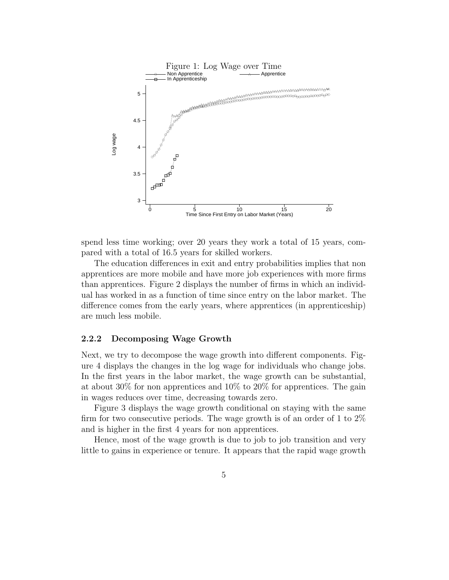

spend less time working; over 20 years they work a total of 15 years, compared with a total of 16.5 years for skilled workers.

The education differences in exit and entry probabilities implies that non apprentices are more mobile and have more job experiences with more firms than apprentices. Figure 2 displays the number of firms in which an individual has worked in as a function of time since entry on the labor market. The difference comes from the early years, where apprentices (in apprenticeship) are much less mobile.

#### 2.2.2 Decomposing Wage Growth

Next, we try to decompose the wage growth into different components. Figure 4 displays the changes in the log wage for individuals who change jobs. In the first years in the labor market, the wage growth can be substantial, at about 30% for non apprentices and 10% to 20% for apprentices. The gain in wages reduces over time, decreasing towards zero.

Figure 3 displays the wage growth conditional on staying with the same firm for two consecutive periods. The wage growth is of an order of 1 to  $2\%$ and is higher in the first 4 years for non apprentices.

Hence, most of the wage growth is due to job to job transition and very little to gains in experience or tenure. It appears that the rapid wage growth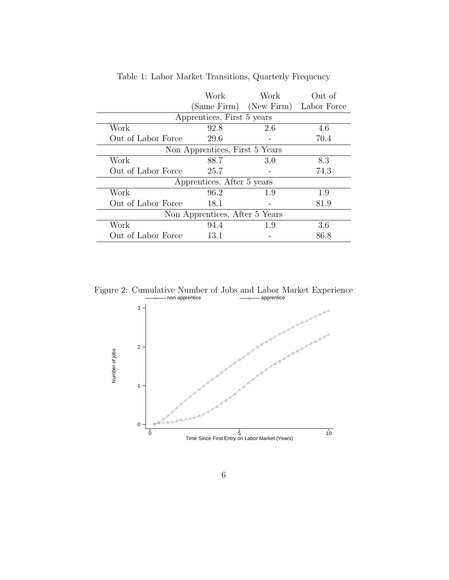|                                | Work                           | Work                   |             |  |
|--------------------------------|--------------------------------|------------------------|-------------|--|
|                                |                                | (Same Firm) (New Firm) | Labor Force |  |
|                                | Apprentices, First 5 years     |                        |             |  |
| Work                           | 92.8                           | 2.6                    | 4.6         |  |
| Out of Labor Force             | 29.6                           |                        | 70.4        |  |
|                                | Non Apprentices, First 5 Years |                        |             |  |
| Work                           | 88.7                           | 3.0                    | 8.3         |  |
| Out of Labor Force             | 25.7                           |                        | 74.3        |  |
| Apprentices, After 5 years     |                                |                        |             |  |
| Work                           | 96.2                           | 1.9                    | 1.9         |  |
| Out of Labor Force             | 18.1                           |                        | 81.9        |  |
| Non Apprentices, After 5 Years |                                |                        |             |  |
| Work                           | 94.4                           | 1.9                    | 3.6         |  |
| Out of Labor Force             | 13.1                           |                        | 86.8        |  |

Table 1: Labor Market Transitions, Quarterly Frequency

Figure 2: Cumulative Number of Jobs and Labor Market Experience

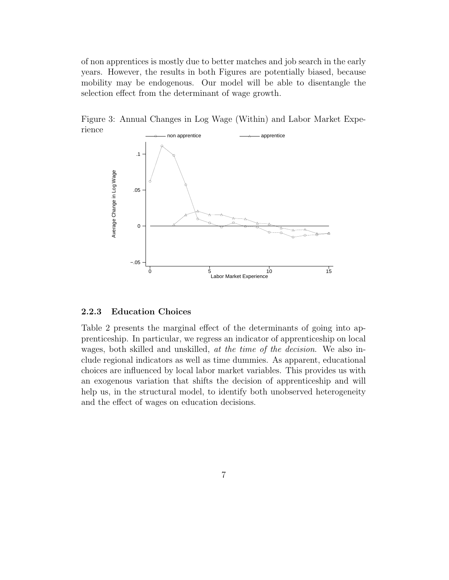of non apprentices is mostly due to better matches and job search in the early years. However, the results in both Figures are potentially biased, because mobility may be endogenous. Our model will be able to disentangle the selection effect from the determinant of wage growth.



Figure 3: Annual Changes in Log Wage (Within) and Labor Market Experience

#### 2.2.3 Education Choices

Table 2 presents the marginal effect of the determinants of going into apprenticeship. In particular, we regress an indicator of apprenticeship on local wages, both skilled and unskilled, at the time of the decision. We also include regional indicators as well as time dummies. As apparent, educational choices are influenced by local labor market variables. This provides us with an exogenous variation that shifts the decision of apprenticeship and will help us, in the structural model, to identify both unobserved heterogeneity and the effect of wages on education decisions.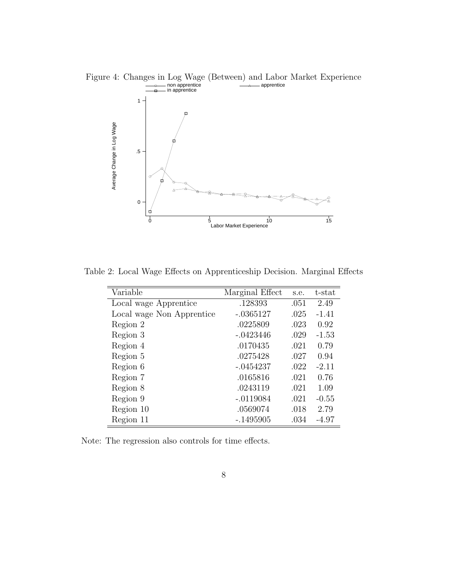

Table 2: Local Wage Effects on Apprenticeship Decision. Marginal Effects

| Variable                  | Marginal Effect | s.e. | $t$ -stat |
|---------------------------|-----------------|------|-----------|
| Local wage Apprentice     | .128393         | .051 | 2.49      |
| Local wage Non Apprentice | $-.0365127$     | .025 | $-1.41$   |
| Region 2                  | .0225809        | .023 | 0.92      |
| Region 3                  | $-.0423446$     | .029 | $-1.53$   |
| Region 4                  | .0170435        | .021 | 0.79      |
| Region 5                  | .0275428        | .027 | 0.94      |
| Region 6                  | $-.0454237$     | .022 | $-2.11$   |
| Region 7                  | .0165816        | .021 | 0.76      |
| Region 8                  | .0243119        | .021 | 1.09      |
| Region 9                  | $-.0119084$     | .021 | $-0.55$   |
| Region 10                 | .0569074        | .018 | 2.79      |
| Region 11                 | $-.1495905$     | .034 | $-4.97$   |

Note: The regression also controls for time effects.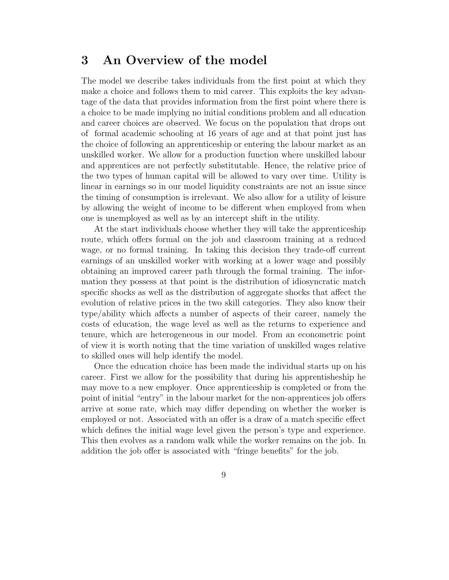## 3 An Overview of the model

The model we describe takes individuals from the first point at which they make a choice and follows them to mid career. This exploits the key advantage of the data that provides information from the first point where there is a choice to be made implying no initial conditions problem and all education and career choices are observed. We focus on the population that drops out of formal academic schooling at 16 years of age and at that point just has the choice of following an apprenticeship or entering the labour market as an unskilled worker. We allow for a production function where unskilled labour and apprentices are not perfectly substitutable. Hence, the relative price of the two types of human capital will be allowed to vary over time. Utility is linear in earnings so in our model liquidity constraints are not an issue since the timing of consumption is irrelevant. We also allow for a utility of leisure by allowing the weight of income to be different when employed from when one is unemployed as well as by an intercept shift in the utility.

At the start individuals choose whether they will take the apprenticeship route, which offers formal on the job and classroom training at a reduced wage, or no formal training. In taking this decision they trade-off current earnings of an unskilled worker with working at a lower wage and possibly obtaining an improved career path through the formal training. The information they possess at that point is the distribution of idiosyncratic match specific shocks as well as the distribution of aggregate shocks that affect the evolution of relative prices in the two skill categories. They also know their type/ability which affects a number of aspects of their career, namely the costs of education, the wage level as well as the returns to experience and tenure, which are heterogeneous in our model. From an econometric point of view it is worth noting that the time variation of unskilled wages relative to skilled ones will help identify the model.

Once the education choice has been made the individual starts up on his career. First we allow for the possibility that during his apprentisheship he may move to a new employer. Once apprenticeship is completed or from the point of initial "entry" in the labour market for the non-apprentices job offers arrive at some rate, which may differ depending on whether the worker is employed or not. Associated with an offer is a draw of a match specific effect which defines the initial wage level given the person's type and experience. This then evolves as a random walk while the worker remains on the job. In addition the job offer is associated with "fringe benefits" for the job.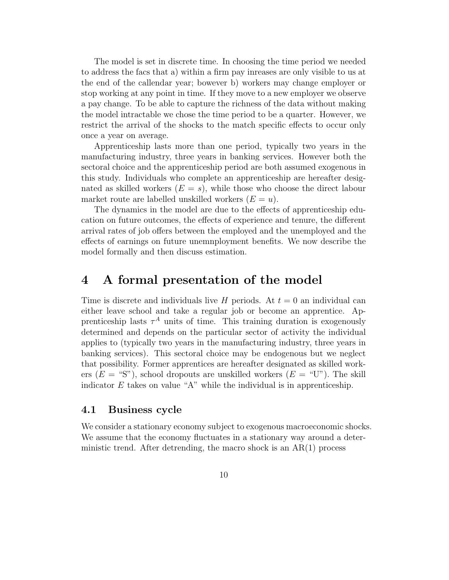The model is set in discrete time. In choosing the time period we needed to address the facs that a) within a firm pay inreases are only visible to us at the end of the callendar year; bowever b) workers may change employer or stop working at any point in time. If they move to a new employer we observe a pay change. To be able to capture the richness of the data without making the model intractable we chose the time period to be a quarter. However, we restrict the arrival of the shocks to the match specific effects to occur only once a year on average.

Apprenticeship lasts more than one period, typically two years in the manufacturing industry, three years in banking services. However both the sectoral choice and the apprenticeship period are both assumed exogenous in this study. Individuals who complete an apprenticeship are hereafter designated as skilled workers  $(E = s)$ , while those who choose the direct labour market route are labelled unskilled workers  $(E = u)$ .

The dynamics in the model are due to the effects of apprenticeship education on future outcomes, the effects of experience and tenure, the different arrival rates of job offers between the employed and the unemployed and the effects of earnings on future unemnployment benefits. We now describe the model formally and then discuss estimation.

## 4 A formal presentation of the model

Time is discrete and individuals live H periods. At  $t = 0$  an individual can either leave school and take a regular job or become an apprentice. Apprenticeship lasts  $\tau^A$  units of time. This training duration is exogenously determined and depends on the particular sector of activity the individual applies to (typically two years in the manufacturing industry, three years in banking services). This sectoral choice may be endogenous but we neglect that possibility. Former apprentices are hereafter designated as skilled workers  $(E = "S")$ , school dropouts are unskilled workers  $(E = "U")$ . The skill indicator  $E$  takes on value "A" while the individual is in apprenticeship.

### 4.1 Business cycle

We consider a stationary economy subject to exogenous macroeconomic shocks. We assume that the economy fluctuates in a stationary way around a deterministic trend. After detrending, the macro shock is an  $AR(1)$  process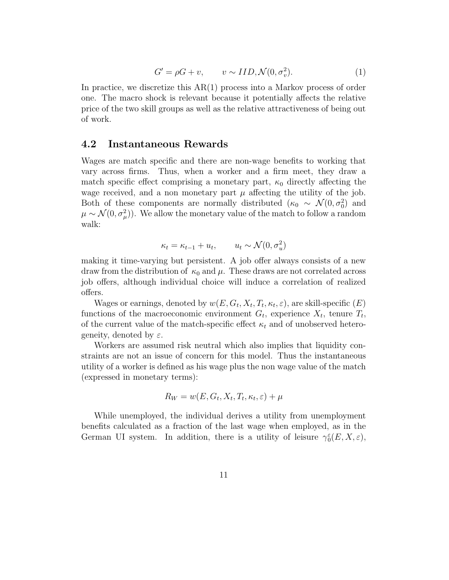$$
G' = \rho G + v, \qquad v \sim IID, \mathcal{N}(0, \sigma_v^2). \tag{1}
$$

In practice, we discretize this AR(1) process into a Markov process of order one. The macro shock is relevant because it potentially affects the relative price of the two skill groups as well as the relative attractiveness of being out of work.

### 4.2 Instantaneous Rewards

Wages are match specific and there are non-wage benefits to working that vary across firms. Thus, when a worker and a firm meet, they draw a match specific effect comprising a monetary part,  $\kappa_0$  directly affecting the wage received, and a non monetary part  $\mu$  affecting the utility of the job. Both of these components are normally distributed  $(\kappa_0 \sim \mathcal{N}(0, \sigma_0^2))$  and  $\mu \sim \mathcal{N}(0, \sigma_{\mu}^2)$ ). We allow the monetary value of the match to follow a random walk:

$$
\kappa_t = \kappa_{t-1} + u_t, \qquad u_t \sim \mathcal{N}(0, \sigma_u^2)
$$

making it time-varying but persistent. A job offer always consists of a new draw from the distribution of  $\kappa_0$  and  $\mu$ . These draws are not correlated across job offers, although individual choice will induce a correlation of realized offers.

Wages or earnings, denoted by  $w(E, G_t, X_t, T_t, \kappa_t, \varepsilon)$ , are skill-specific  $(E)$ functions of the macroeconomic environment  $G_t$ , experience  $X_t$ , tenure  $T_t$ , of the current value of the match-specific effect  $\kappa_t$  and of unobserved heterogeneity, denoted by  $\varepsilon$ .

Workers are assumed risk neutral which also implies that liquidity constraints are not an issue of concern for this model. Thus the instantaneous utility of a worker is defined as his wage plus the non wage value of the match (expressed in monetary terms):

$$
R_W = w(E, G_t, X_t, T_t, \kappa_t, \varepsilon) + \mu
$$

While unemployed, the individual derives a utility from unemployment benefits calculated as a fraction of the last wage when employed, as in the German UI system. In addition, there is a utility of leisure  $\gamma_0^{\varepsilon}(E, X, \varepsilon)$ ,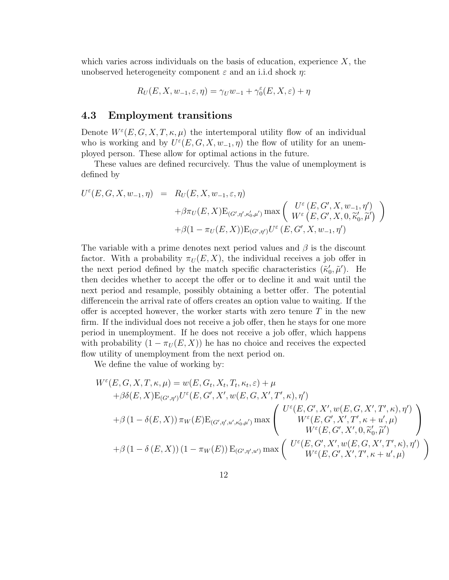which varies across individuals on the basis of education, experience  $X$ , the unobserved heterogeneity component  $\varepsilon$  and an i.i.d shock  $\eta$ :

$$
R_U(E, X, w_{-1}, \varepsilon, \eta) = \gamma_U w_{-1} + \gamma_0^{\varepsilon}(E, X, \varepsilon) + \eta
$$

### 4.3 Employment transitions

Denote  $W^{\varepsilon}(E, G, X, T, \kappa, \mu)$  the intertemporal utility flow of an individual who is working and by  $U^{\varepsilon}(E, G, X, w_{-1}, \eta)$  the flow of utility for an unemployed person. These allow for optimal actions in the future.

These values are defined recurcively. Thus the value of unemployment is defined by

$$
U^{\varepsilon}(E, G, X, w_{-1}, \eta) = R_U(E, X, w_{-1}, \varepsilon, \eta)
$$
  
+  $\beta \pi_U(E, X) E_{(G', \eta', \kappa'_0, \mu')}$  max  $\left( \begin{array}{c} U^{\varepsilon}(E, G', X, w_{-1}, \eta') \\ W^{\varepsilon}(E, G', X, 0, \widetilde{\kappa}'_0, \widetilde{\mu}') \end{array} \right)$   
+  $\beta (1 - \pi_U(E, X)) E_{(G', \eta')} U^{\varepsilon}(E, G', X, w_{-1}, \eta')$ 

The variable with a prime denotes next period values and  $\beta$  is the discount factor. With a probability  $\pi_U(E, X)$ , the individual receives a job offer in the next period defined by the match specific characteristics  $(\tilde{\kappa}_0)$  $'_{0}, \tilde{\mu}'$ ). He then decides whether to accept the offer or to decline it and wait until the next period and resample, possibly obtaining a better offer. The potential differencein the arrival rate of offers creates an option value to waiting. If the offer is accepted however, the worker starts with zero tenure  $T$  in the new firm. If the individual does not receive a job offer, then he stays for one more period in unemployment. If he does not receive a job offer, which happens with probability  $(1 - \pi_U(E, X))$  he has no choice and receives the expected flow utility of unemployment from the next period on.

We define the value of working by:

$$
W^{\varepsilon}(E, G, X, T, \kappa, \mu) = w(E, G_t, X_t, T_t, \kappa_t, \varepsilon) + \mu
$$
  
+  $\beta \delta(E, X) E_{(G', \eta')} U^{\varepsilon}(E, G', X', w(E, G, X', T', \kappa), \eta')$   
+  $\beta (1 - \delta(E, X)) \pi_W(E) E_{(G', \eta', u', \kappa'_0, \mu')} \max \begin{pmatrix} U^{\varepsilon}(E, G', X', w(E, G, X', T', \kappa), \eta') \\ W^{\varepsilon}(E, G', X', T', \kappa + u', \mu) \\ W^{\varepsilon}(E, G', X', 0, \tilde{\kappa}'_0, \tilde{\mu}') \\ W^{\varepsilon}(E, G', X', 0, \tilde{\kappa}'_0, \tilde{\mu}') \end{pmatrix}$   
+  $\beta (1 - \delta(E, X)) (1 - \pi_W(E)) E_{(G', \eta', u')} \max \begin{pmatrix} U^{\varepsilon}(E, G', X', w(E, G, X', T', \kappa), \eta') \\ W^{\varepsilon}(E, G', X', T', \kappa + u', \mu) \end{pmatrix}$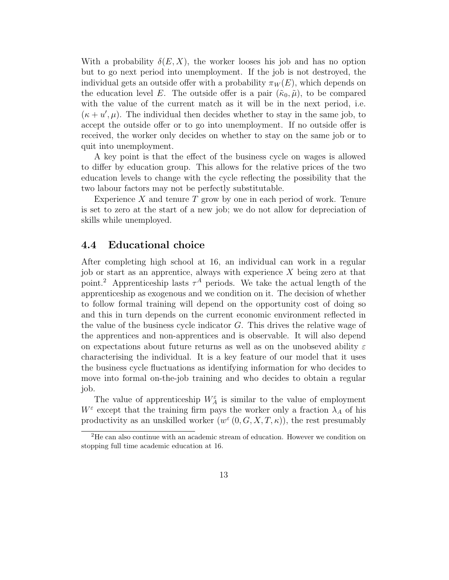With a probability  $\delta(E, X)$ , the worker looses his job and has no option but to go next period into unemployment. If the job is not destroyed, the individual gets an outside offer with a probability  $\pi_W(E)$ , which depends on the education level E. The outside offer is a pair  $(\tilde{\kappa}_0, \tilde{\mu})$ , to be compared with the value of the current match as it will be in the next period, i.e.  $(\kappa + u', \mu)$ . The individual then decides whether to stay in the same job, to accept the outside offer or to go into unemployment. If no outside offer is received, the worker only decides on whether to stay on the same job or to quit into unemployment.

A key point is that the effect of the business cycle on wages is allowed to differ by education group. This allows for the relative prices of the two education levels to change with the cycle reflecting the possibility that the two labour factors may not be perfectly substitutable.

Experience  $X$  and tenure  $T$  grow by one in each period of work. Tenure is set to zero at the start of a new job; we do not allow for depreciation of skills while unemployed.

### 4.4 Educational choice

After completing high school at 16, an individual can work in a regular job or start as an apprentice, always with experience X being zero at that point.<sup>2</sup> Apprenticeship lasts  $\tau^A$  periods. We take the actual length of the apprenticeship as exogenous and we condition on it. The decision of whether to follow formal training will depend on the opportunity cost of doing so and this in turn depends on the current economic environment reflected in the value of the business cycle indicator G. This drives the relative wage of the apprentices and non-apprentices and is observable. It will also depend on expectations about future returns as well as on the unobseved ability  $\varepsilon$ characterising the individual. It is a key feature of our model that it uses the business cycle fluctuations as identifying information for who decides to move into formal on-the-job training and who decides to obtain a regular job.

The value of apprenticeship  $W_A^{\varepsilon}$  is similar to the value of employment  $W^{\varepsilon}$  except that the training firm pays the worker only a fraction  $\lambda_A$  of his productivity as an unskilled worker  $(w^{\varepsilon}(0, G, X, T, \kappa))$ , the rest presumably

<sup>2</sup>He can also continue with an academic stream of education. However we condition on stopping full time academic education at 16.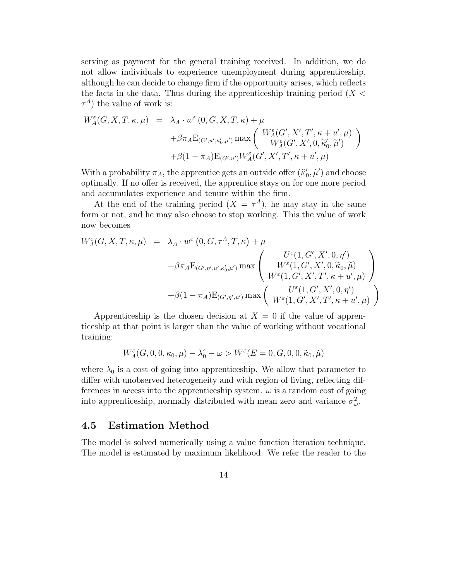serving as payment for the general training received. In addition, we do not allow individuals to experience unemployment during apprenticeship, although he can decide to change firm if the opportunity arises, which reflects the facts in the data. Thus during the apprenticeship training period  $(X <$  $\tau^A$ ) the value of work is:

$$
W_A^{\varepsilon}(G, X, T, \kappa, \mu) = \lambda_A \cdot w^{\varepsilon}(0, G, X, T, \kappa) + \mu + \beta \pi_A E_{(G', u', \kappa'_0, \mu')} \max \begin{pmatrix} W_A^{\varepsilon}(G', X', T', \kappa + u', \mu) \\ W_A^{\varepsilon}(G', X', 0, \tilde{\kappa}'_0, \tilde{\mu}') \\ W_A^{\varepsilon}(G', X', 0, \tilde{\kappa}'_0, \tilde{\mu}') \end{pmatrix} + \beta (1 - \pi_A) E_{(G', u')} W_A^{\varepsilon}(G', X', T', \kappa + u', \mu)
$$

With a probability  $\pi_A$ , the apprentice gets an outside offer  $(\tilde{k}'_0)$  $\tilde{\mu}'$  and choose optimally. If no offer is received, the apprentice stays on for one more period and accumulates experience and tenure within the firm.

At the end of the training period  $(X = \tau^A)$ , he may stay in the same form or not, and he may also choose to stop working. This the value of work now becomes

$$
W_A^{\varepsilon}(G, X, T, \kappa, \mu) = \lambda_A \cdot w^{\varepsilon} (0, G, \tau^A, T, \kappa) + \mu + \beta \pi_A E_{(G', \eta', u', \kappa'_0, \mu')} \max \begin{pmatrix} U^{\varepsilon}(1, G', X', 0, \eta') \\ W^{\varepsilon}(1, G', X', 0, \widetilde{\kappa}_0, \widetilde{\mu}) \\ W^{\varepsilon}(1, G', X', T', \kappa + u', \mu) \end{pmatrix} + \beta (1 - \pi_A) E_{(G', \eta', u')} \max \begin{pmatrix} U^{\varepsilon}(1, G', X', 0, \eta') \\ W^{\varepsilon}(1, G', X', T', \kappa + u', \mu) \end{pmatrix}
$$

Apprenticeship is the chosen decision at  $X = 0$  if the value of apprenticeship at that point is larger than the value of working without vocational training:

$$
W_A^{\varepsilon}(G,0,0,\kappa_0,\mu)-\lambda_0^{\varepsilon}-\omega>W^{\varepsilon}(E=0,G,0,0,\tilde{\kappa}_0,\tilde{\mu})
$$

where  $\lambda_0$  is a cost of going into apprenticeship. We allow that parameter to differ with unobserved heterogeneity and with region of living, reflecting differences in access into the apprenticeship system.  $\omega$  is a random cost of going into apprenticeship, normally distributed with mean zero and variance  $\sigma_{\omega}^2$ .

#### 4.5 Estimation Method

The model is solved numerically using a value function iteration technique. The model is estimated by maximum likelihood. We refer the reader to the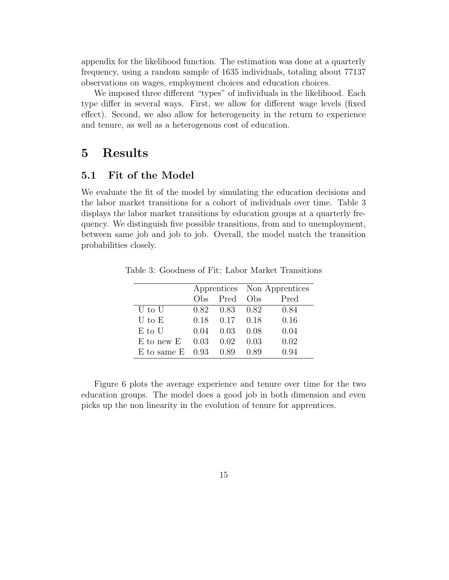appendix for the likelihood function. The estimation was done at a quarterly frequency, using a random sample of 1635 individuals, totaling about 77137 observations on wages, employment choices and education choices.

We imposed three different "types" of individuals in the likelihood. Each type differ in several ways. First, we allow for different wage levels (fixed effect). Second, we also allow for heterogeneity in the return to experience and tenure, as well as a heterogenous cost of education.

### 5 Results

### 5.1 Fit of the Model

We evaluate the fit of the model by simulating the education decisions and the labor market transitions for a cohort of individuals over time. Table 3 displays the labor market transitions by education groups at a quarterly frequency. We distinguish five possible transitions, from and to unemployment, between same job and job to job. Overall, the model match the transition probabilities closely.

|                         |      |                   | Apprentices Non Apprentices |      |  |
|-------------------------|------|-------------------|-----------------------------|------|--|
|                         |      | Obs Pred          | $(b)$ $\beta$               | Pred |  |
| U to U                  |      | 0.82 0.83 0.82    |                             | 0.84 |  |
| $U$ to $E$              |      | 0.18 0.17 0.18    |                             | 0.16 |  |
| E to U                  | 0.04 | 0.03              | 0.08                        | 0.04 |  |
| E to new E              |      | $0.03 \quad 0.02$ | 0.03                        | 0.02 |  |
| E to same $E$ 0.93 0.89 |      |                   | 0.89                        | 0.94 |  |

Table 3: Goodness of Fit: Labor Market Transitions

Figure 6 plots the average experience and tenure over time for the two education groups. The model does a good job in both dimension and even picks up the non linearity in the evolution of tenure for apprentices.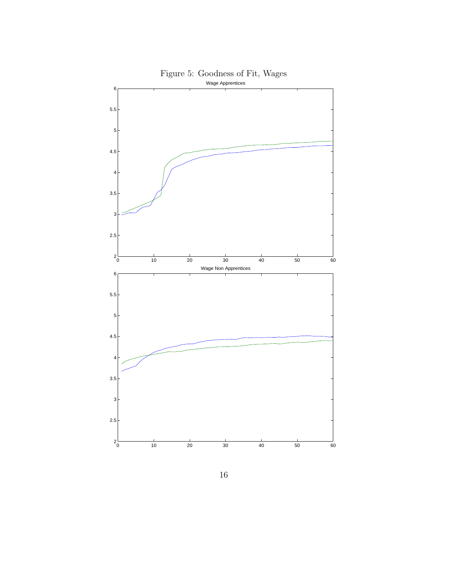

Figure 5: Goodness of Fit, Wages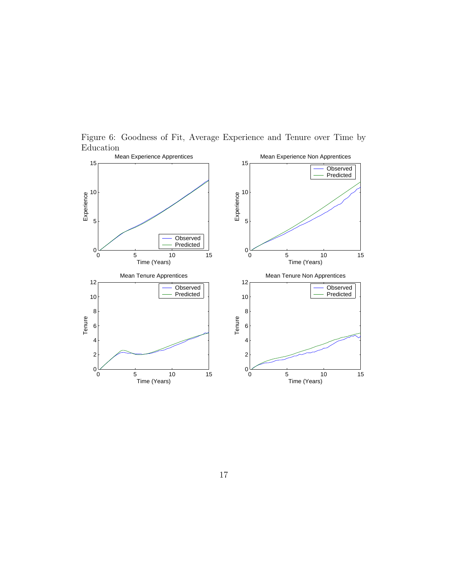

Figure 6: Goodness of Fit, Average Experience and Tenure over Time by Education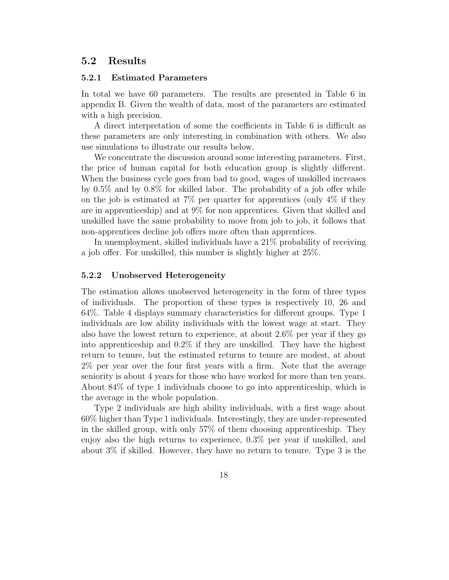### 5.2 Results

#### 5.2.1 Estimated Parameters

In total we have 60 parameters. The results are presented in Table 6 in appendix B. Given the wealth of data, most of the parameters are estimated with a high precision.

A direct interpretation of some the coefficients in Table 6 is difficult as these parameters are only interesting in combination with others. We also use simulations to illustrate our results below.

We concentrate the discussion around some interesting parameters. First, the price of human capital for both education group is slightly different. When the business cycle goes from bad to good, wages of unskilled increases by 0.5% and by 0.8% for skilled labor. The probability of a job offer while on the job is estimated at  $7\%$  per quarter for apprentices (only  $4\%$  if they are in apprenticeship) and at 9% for non apprentices. Given that skilled and unskilled have the same probability to move from job to job, it follows that non-apprentices decline job offers more often than apprentices.

In unemployment, skilled individuals have a 21% probability of receiving a job offer. For unskilled, this number is slightly higher at 25%.

#### 5.2.2 Unobserved Heterogeneity

The estimation allows unobserved heterogeneity in the form of three types of individuals. The proportion of these types is respectively 10, 26 and 64%. Table 4 displays summary characteristics for different groups. Type 1 individuals are low ability individuals with the lowest wage at start. They also have the lowest return to experience, at about 2.6% per year if they go into apprenticeship and 0.2% if they are unskilled. They have the highest return to tenure, but the estimated returns to tenure are modest, at about 2% per year over the four first years with a firm. Note that the average seniority is about 4 years for those who have worked for more than ten years. About 84% of type 1 individuals choose to go into apprenticeship, which is the average in the whole population.

Type 2 individuals are high ability individuals, with a first wage about 60% higher than Type 1 individuals. Interestingly, they are under-represented in the skilled group, with only 57% of them choosing apprenticeship. They enjoy also the high returns to experience, 0.3% per year if unskilled, and about 3% if skilled. However, they have no return to tenure. Type 3 is the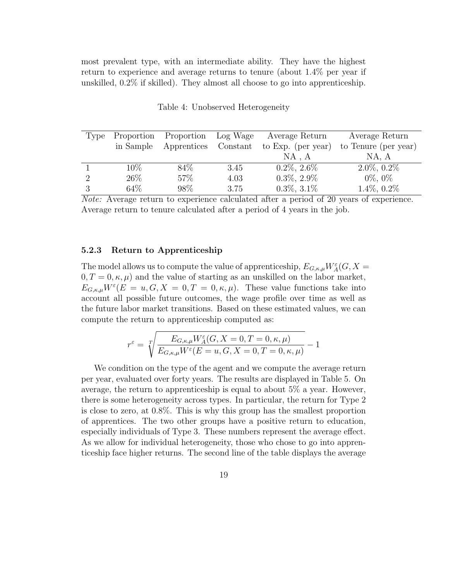most prevalent type, with an intermediate ability. They have the highest return to experience and average returns to tenure (about 1.4% per year if unskilled, 0.2% if skilled). They almost all choose to go into apprenticeship.

| Type     | Proportion | Proportion Log Wage |          | Average Return     | Average Return       |
|----------|------------|---------------------|----------|--------------------|----------------------|
|          | in Sample  | Apprentices         | Constant | to Exp. (per year) | to Tenure (per year) |
|          |            |                     |          | NA . A             | NA, A                |
|          | $10\%$     | 84\%                | 3.45     | $0.2\%$ , $2.6\%$  | $2.0\%, 0.2\%$       |
| $\Omega$ | 26\%       | 57%                 | 4.03     | $0.3\%, 2.9\%$     | $0\%, 0\%$           |
|          | 64\%       | 98\%                | 3.75     | $0.3\%, 3.1\%$     | $1.4\%, 0.2\%$       |

Table 4: Unobserved Heterogeneity

Note: Average return to experience calculated after a period of 20 years of experience. Average return to tenure calculated after a period of 4 years in the job.

#### 5.2.3 Return to Apprenticeship

The model allows us to compute the value of apprenticeship,  $E_{G,\kappa,\mu}W_A^\varepsilon(G,X)$  $0, T = 0, \kappa, \mu$  and the value of starting as an unskilled on the labor market,  $E_{G,\kappa,\mu}W^{\varepsilon}(E=u,G,X=0,T=0,\kappa,\mu).$  These value functions take into account all possible future outcomes, the wage profile over time as well as the future labor market transitions. Based on these estimated values, we can compute the return to apprenticeship computed as:

$$
r^\varepsilon=\sqrt[T\hspace{-1.5mm}\int\frac{E_{G,\kappa,\mu}W^\varepsilon_A(G,X=0,T=0,\kappa,\mu)}{E_{G,\kappa,\mu}W^\varepsilon(E=u,G,X=0,T=0,\kappa,\mu)}-1
$$

We condition on the type of the agent and we compute the average return per year, evaluated over forty years. The results are displayed in Table 5. On average, the return to apprenticeship is equal to about 5% a year. However, there is some heterogeneity across types. In particular, the return for Type 2 is close to zero, at 0.8%. This is why this group has the smallest proportion of apprentices. The two other groups have a positive return to education, especially individuals of Type 3. These numbers represent the average effect. As we allow for individual heterogeneity, those who chose to go into apprenticeship face higher returns. The second line of the table displays the average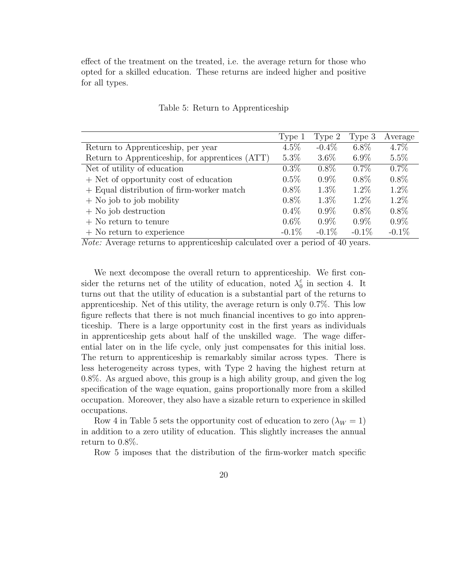effect of the treatment on the treated, i.e. the average return for those who opted for a skilled education. These returns are indeed higher and positive for all types.

|                                                 | Type 1   | Type 2   | Type 3   | Average  |
|-------------------------------------------------|----------|----------|----------|----------|
| Return to Apprenticeship, per year              | $4.5\%$  | $-0.4\%$ | $6.8\%$  | $4.7\%$  |
| Return to Apprenticeship, for apprentices (ATT) | $5.3\%$  | $3.6\%$  | $6.9\%$  | $5.5\%$  |
| Net of utility of education                     | $0.3\%$  | $0.8\%$  | $0.7\%$  | $0.7\%$  |
| + Net of opportunity cost of education          | $0.5\%$  | $0.9\%$  | $0.8\%$  | $0.8\%$  |
| + Equal distribution of firm-worker match       | $0.8\%$  | $1.3\%$  | $1.2\%$  | $1.2\%$  |
| $+$ No job to job mobility                      | $0.8\%$  | $1.3\%$  | $1.2\%$  | $1.2\%$  |
| $+$ No job destruction                          | $0.4\%$  | $0.9\%$  | $0.8\%$  | $0.8\%$  |
| $+$ No return to tenure                         | $0.6\%$  | $0.9\%$  | $0.9\%$  | $0.9\%$  |
| $+$ No return to experience                     | $-0.1\%$ | $-0.1\%$ | $-0.1\%$ | $-0.1\%$ |

#### Table 5: Return to Apprenticeship

Note: Average returns to apprenticeship calculated over a period of 40 years.

We next decompose the overall return to apprenticeship. We first consider the returns net of the utility of education, noted  $\lambda_0^{\varepsilon}$  $_0^{\varepsilon}$  in section 4. It turns out that the utility of education is a substantial part of the returns to apprenticeship. Net of this utility, the average return is only 0.7%. This low figure reflects that there is not much financial incentives to go into apprenticeship. There is a large opportunity cost in the first years as individuals in apprenticeship gets about half of the unskilled wage. The wage differential later on in the life cycle, only just compensates for this initial loss. The return to apprenticeship is remarkably similar across types. There is less heterogeneity across types, with Type 2 having the highest return at 0.8%. As argued above, this group is a high ability group, and given the log specification of the wage equation, gains proportionally more from a skilled occupation. Moreover, they also have a sizable return to experience in skilled occupations.

Row 4 in Table 5 sets the opportunity cost of education to zero  $(\lambda_W = 1)$ in addition to a zero utility of education. This slightly increases the annual return to 0.8%.

Row 5 imposes that the distribution of the firm-worker match specific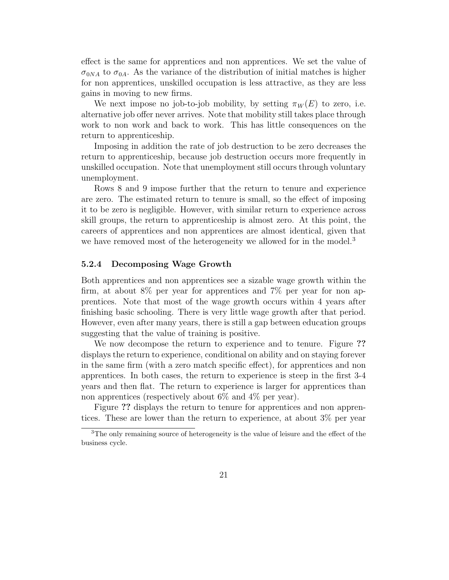effect is the same for apprentices and non apprentices. We set the value of  $\sigma_{0NA}$  to  $\sigma_{0A}$ . As the variance of the distribution of initial matches is higher for non apprentices, unskilled occupation is less attractive, as they are less gains in moving to new firms.

We next impose no job-to-job mobility, by setting  $\pi_W(E)$  to zero, i.e. alternative job offer never arrives. Note that mobility still takes place through work to non work and back to work. This has little consequences on the return to apprenticeship.

Imposing in addition the rate of job destruction to be zero decreases the return to apprenticeship, because job destruction occurs more frequently in unskilled occupation. Note that unemployment still occurs through voluntary unemployment.

Rows 8 and 9 impose further that the return to tenure and experience are zero. The estimated return to tenure is small, so the effect of imposing it to be zero is negligible. However, with similar return to experience across skill groups, the return to apprenticeship is almost zero. At this point, the careers of apprentices and non apprentices are almost identical, given that we have removed most of the heterogeneity we allowed for in the model.<sup>3</sup>

#### 5.2.4 Decomposing Wage Growth

Both apprentices and non apprentices see a sizable wage growth within the firm, at about 8% per year for apprentices and 7% per year for non apprentices. Note that most of the wage growth occurs within 4 years after finishing basic schooling. There is very little wage growth after that period. However, even after many years, there is still a gap between education groups suggesting that the value of training is positive.

We now decompose the return to experience and to tenure. Figure ?? displays the return to experience, conditional on ability and on staying forever in the same firm (with a zero match specific effect), for apprentices and non apprentices. In both cases, the return to experience is steep in the first 3-4 years and then flat. The return to experience is larger for apprentices than non apprentices (respectively about 6% and 4% per year).

Figure ?? displays the return to tenure for apprentices and non apprentices. These are lower than the return to experience, at about 3% per year

<sup>3</sup>The only remaining source of heterogeneity is the value of leisure and the effect of the business cycle.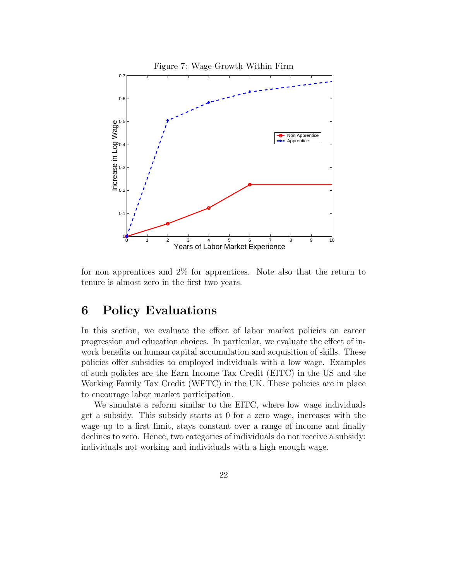

for non apprentices and 2% for apprentices. Note also that the return to tenure is almost zero in the first two years.

## 6 Policy Evaluations

In this section, we evaluate the effect of labor market policies on career progression and education choices. In particular, we evaluate the effect of inwork benefits on human capital accumulation and acquisition of skills. These policies offer subsidies to employed individuals with a low wage. Examples of such policies are the Earn Income Tax Credit (EITC) in the US and the Working Family Tax Credit (WFTC) in the UK. These policies are in place to encourage labor market participation.

We simulate a reform similar to the EITC, where low wage individuals get a subsidy. This subsidy starts at 0 for a zero wage, increases with the wage up to a first limit, stays constant over a range of income and finally declines to zero. Hence, two categories of individuals do not receive a subsidy: individuals not working and individuals with a high enough wage.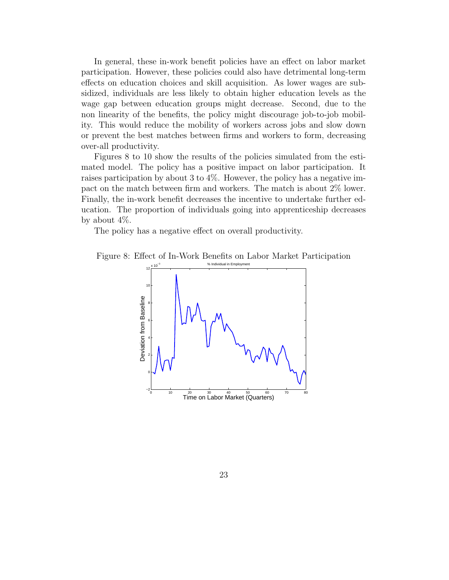In general, these in-work benefit policies have an effect on labor market participation. However, these policies could also have detrimental long-term effects on education choices and skill acquisition. As lower wages are subsidized, individuals are less likely to obtain higher education levels as the wage gap between education groups might decrease. Second, due to the non linearity of the benefits, the policy might discourage job-to-job mobility. This would reduce the mobility of workers across jobs and slow down or prevent the best matches between firms and workers to form, decreasing over-all productivity.

Figures 8 to 10 show the results of the policies simulated from the estimated model. The policy has a positive impact on labor participation. It raises participation by about 3 to 4%. However, the policy has a negative impact on the match between firm and workers. The match is about 2% lower. Finally, the in-work benefit decreases the incentive to undertake further education. The proportion of individuals going into apprenticeship decreases by about 4%.

The policy has a negative effect on overall productivity.

Figure 8: Effect of In-Work Benefits on Labor Market Participation

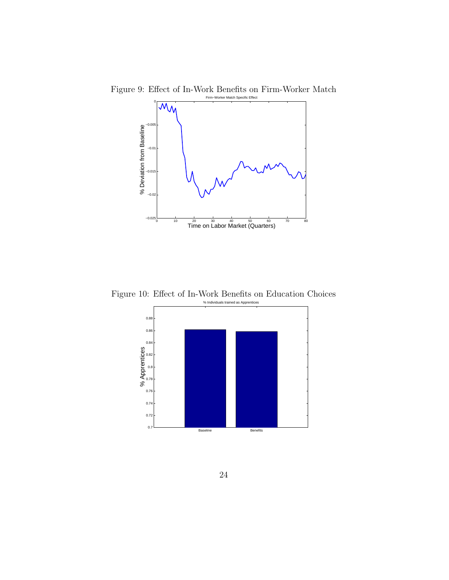

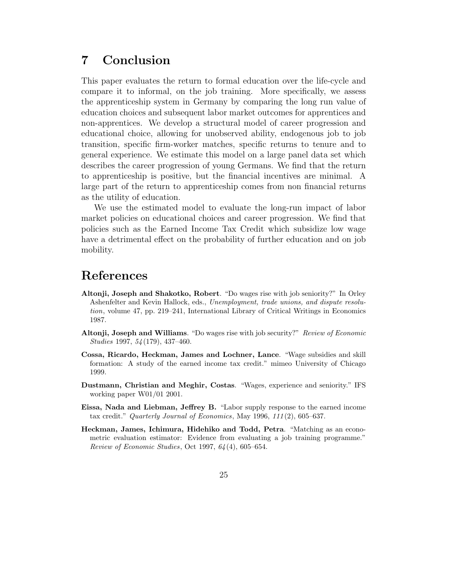## 7 Conclusion

This paper evaluates the return to formal education over the life-cycle and compare it to informal, on the job training. More specifically, we assess the apprenticeship system in Germany by comparing the long run value of education choices and subsequent labor market outcomes for apprentices and non-apprentices. We develop a structural model of career progression and educational choice, allowing for unobserved ability, endogenous job to job transition, specific firm-worker matches, specific returns to tenure and to general experience. We estimate this model on a large panel data set which describes the career progression of young Germans. We find that the return to apprenticeship is positive, but the financial incentives are minimal. A large part of the return to apprenticeship comes from non financial returns as the utility of education.

We use the estimated model to evaluate the long-run impact of labor market policies on educational choices and career progression. We find that policies such as the Earned Income Tax Credit which subsidize low wage have a detrimental effect on the probability of further education and on job mobility.

## References

- Altonji, Joseph and Shakotko, Robert. "Do wages rise with job seniority?" In Orley Ashenfelter and Kevin Hallock, eds., Unemployment, trade unions, and dispute resolution, volume 47, pp. 219–241, International Library of Critical Writings in Economics 1987.
- Altonji, Joseph and Williams. "Do wages rise with job security?" Review of Economic Studies 1997, 54 (179), 437–460.
- Cossa, Ricardo, Heckman, James and Lochner, Lance. "Wage subsidies and skill formation: A study of the earned income tax credit." mimeo University of Chicago 1999.
- Dustmann, Christian and Meghir, Costas. "Wages, experience and seniority." IFS working paper W01/01 2001.
- Eissa, Nada and Liebman, Jeffrey B. "Labor supply response to the earned income tax credit." Quarterly Journal of Economics, May 1996, 111 (2), 605–637.
- Heckman, James, Ichimura, Hidehiko and Todd, Petra. "Matching as an econometric evaluation estimator: Evidence from evaluating a job training programme." Review of Economic Studies, Oct 1997, 64 (4), 605–654.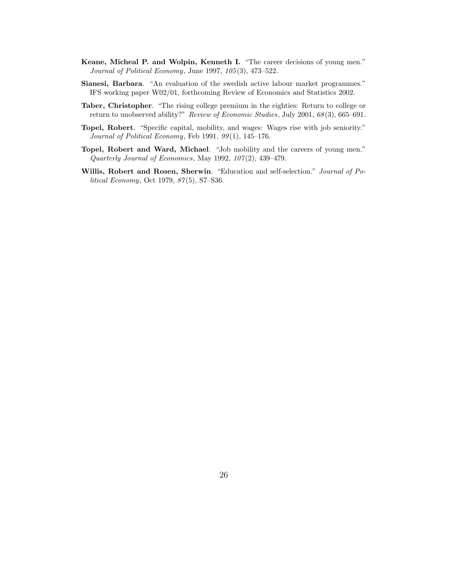- Keane, Micheal P. and Wolpin, Kenneth I. "The career decisions of young men." Journal of Political Economy, June 1997, 105 (3), 473–522.
- Sianesi, Barbara. "An evaluation of the swedish active labour market programmes." IFS working paper W02/01, forthcoming Review of Economics and Statistics 2002.
- Taber, Christopher. "The rising college premium in the eighties: Return to college or return to unobserved ability?" Review of Economic Studies, July 2001, 68 (3), 665–691.
- Topel, Robert. "Specific capital, mobility, and wages: Wages rise with job seniority." Journal of Political Economy, Feb 1991, 99(1), 145-176.
- Topel, Robert and Ward, Michael. "Job mobility and the careers of young men." Quarterly Journal of Economics, May 1992,  $107(2)$ , 439-479.
- Willis, Robert and Rosen, Sherwin. "Education and self-selection." Journal of Political Economy, Oct 1979, 87(5), S7-S36.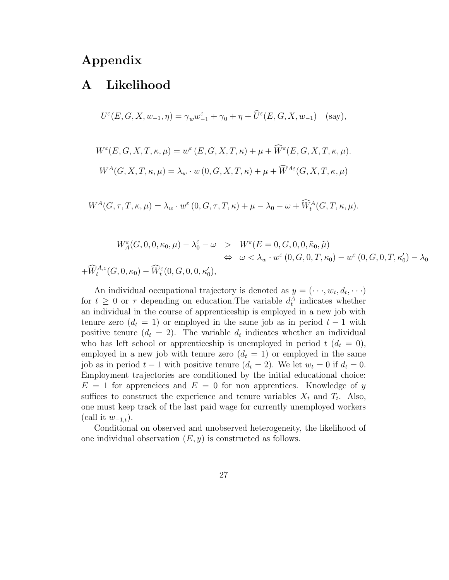## Appendix

## A Likelihood

$$
U^{\varepsilon}(E, G, X, w_{-1}, \eta) = \gamma_w w_{-1}^{\varepsilon} + \gamma_0 + \eta + \widehat{U}^{\varepsilon}(E, G, X, w_{-1}) \quad \text{(say)},
$$

$$
W^{\varepsilon}(E, G, X, T, \kappa, \mu) = w^{\varepsilon}(E, G, X, T, \kappa) + \mu + \widehat{W}^{\varepsilon}(E, G, X, T, \kappa, \mu).
$$

$$
W^{A}(G, X, T, \kappa, \mu) = \lambda_{w} \cdot w(0, G, X, T, \kappa) + \mu + \widehat{W}^{A\varepsilon}(G, X, T, \kappa, \mu)
$$

 $W^{A}(G,\tau,T,\kappa,\mu) = \lambda_{w} \cdot w^{\varepsilon}(0,G,\tau,T,\kappa) + \mu - \lambda_{0} - \omega + \widehat{W}_{t}^{A}(G,T,\kappa,\mu).$ 

$$
W_A^{\varepsilon}(G, 0, 0, \kappa_0, \mu) - \lambda_0^{\varepsilon} - \omega > W^{\varepsilon}(E = 0, G, 0, 0, \tilde{\kappa}_0, \tilde{\mu})
$$
  
\n
$$
\Leftrightarrow \omega < \lambda_w \cdot w^{\varepsilon}(0, G, 0, T, \kappa_0) - w^{\varepsilon}(0, G, 0, T, \kappa'_0) - \lambda_0
$$
  
\n
$$
+ \widehat{W}_t^{A, \varepsilon}(G, 0, \kappa_0) - \widehat{W}_t^{\varepsilon}(0, G, 0, 0, \kappa'_0),
$$

An individual occupational trajectory is denoted as  $y = ( \cdots, w_t, d_t, \cdots)$ for  $t \geq 0$  or  $\tau$  depending on education. The variable  $d_t^A$  indicates whether an individual in the course of apprenticeship is employed in a new job with tenure zero  $(d_t = 1)$  or employed in the same job as in period  $t - 1$  with positive tenure  $(d_t = 2)$ . The variable  $d_t$  indicates whether an individual who has left school or apprenticeship is unemployed in period  $t (d_t = 0)$ , employed in a new job with tenure zero  $(d_t = 1)$  or employed in the same job as in period  $t-1$  with positive tenure  $(d_t = 2)$ . We let  $w_t = 0$  if  $d_t = 0$ . Employment trajectories are conditioned by the initial educational choice:  $E = 1$  for apprencices and  $E = 0$  for non apprentices. Knowledge of y suffices to construct the experience and tenure variables  $X_t$  and  $T_t$ . Also, one must keep track of the last paid wage for currently unemployed workers (call it  $w_{-1,t}$ ).

Conditional on observed and unobserved heterogeneity, the likelihood of one individual observation  $(E, y)$  is constructed as follows.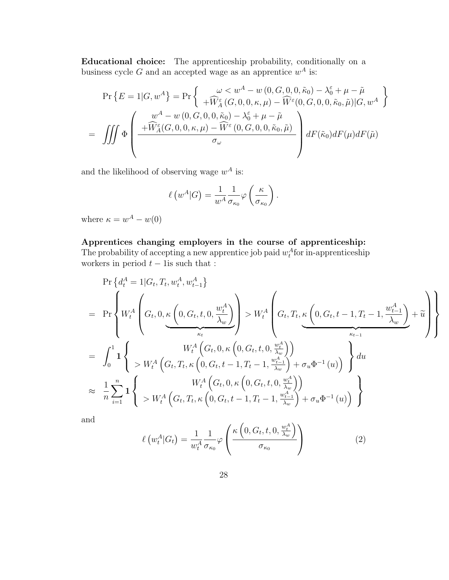Educational choice: The apprenticeship probability, conditionally on a business cycle G and an accepted wage as an apprentice  $w^A$  is:

$$
\Pr\left\{E=1|G,w^{A}\right\} = \Pr\left\{\begin{array}{c}\omega < w^{A}-w(0,G,0,0,\tilde{\kappa}_{0})-\lambda_{0}^{\varepsilon}+\mu-\tilde{\mu} \\ +\widetilde{W}_{A}^{\varepsilon}(G,0,0,\kappa,\mu)-\widetilde{W}^{\varepsilon}(0,G,0,0,\tilde{\kappa}_{0},\tilde{\mu})|G,w^{A} \end{array}\right\}
$$
\n
$$
= \iiint \Phi\left(\begin{array}{c}\nw^{A}-w(0,G,0,0,\tilde{\kappa}_{0})-\lambda_{0}^{\varepsilon}+\mu-\tilde{\mu} \\ +\widetilde{W}_{A}^{\varepsilon}(G,0,0,\kappa,\mu)-\widetilde{W}^{\varepsilon}(0,G,0,0,\tilde{\kappa}_{0},\tilde{\mu}) \\ \sigma_{\omega}\end{array}\right) dF(\tilde{\kappa}_{0})dF(\mu)dF(\tilde{\mu})
$$

and the likelihood of observing wage  $w^A$  is:

$$
\ell(w^A|G) = \frac{1}{w^A} \frac{1}{\sigma_{\kappa_0}} \varphi\left(\frac{\kappa}{\sigma_{\kappa_0}}\right).
$$

where  $\kappa = w^A - w(0)$ 

### Apprentices changing employers in the course of apprenticeship:

The probability of accepting a new apprentice job paid  $w_t^A$  for in-apprenticeship workers in period  $t - 1$ is such that :

$$
\Pr\left\{d_{t}^{A} = 1|G_{t}, T_{t}, w_{t}^{A}, w_{t-1}^{A}\right\}
$$
\n
$$
= \Pr\left\{W_{t}^{A}\left(G_{t}, 0, \underbrace{\kappa\left(0, G_{t}, t, 0, \frac{w_{t}^{A}}{\lambda_{w}}\right)}_{\kappa_{t}}\right) > W_{t}^{A}\left(G_{t}, T_{t}, \underbrace{\kappa\left(0, G_{t}, t - 1, T_{t} - 1, \frac{w_{t-1}^{A}}{\lambda_{w}}\right)}_{\kappa_{t-1}} + \widetilde{u}\right\}
$$
\n
$$
= \int_{0}^{1} \mathbf{1}\left\{W_{t}^{A}\left(G_{t}, 0, \kappa\left(0, G_{t}, t, 0, \frac{w_{t}^{A}}{\lambda_{w}}\right)\right) \atop > W_{t}^{A}\left(G_{t}, T_{t}, \kappa\left(0, G_{t}, t - 1, T_{t} - 1, \frac{w_{t-1}^{A}}{\lambda_{w}}\right) + \sigma_{u} \Phi^{-1}(u)\right)\right\} du
$$
\n
$$
\approx \frac{1}{n} \sum_{i=1}^{n} \mathbf{1}\left\{W_{t}^{A}\left(G_{t}, T_{t}, \kappa\left(0, G_{t}, t - 1, T_{t} - 1, \frac{w_{t-1}^{A}}{\lambda_{w}}\right) + \sigma_{u} \Phi^{-1}(u)\right)\right\}
$$

and

$$
\ell(w_t^A|G_t) = \frac{1}{w_t^A} \frac{1}{\sigma_{\kappa_0}} \varphi \left( \frac{\kappa\left(0, G_t, t, 0, \frac{w_t^A}{\lambda_w}\right)}{\sigma_{\kappa_0}} \right)
$$
(2)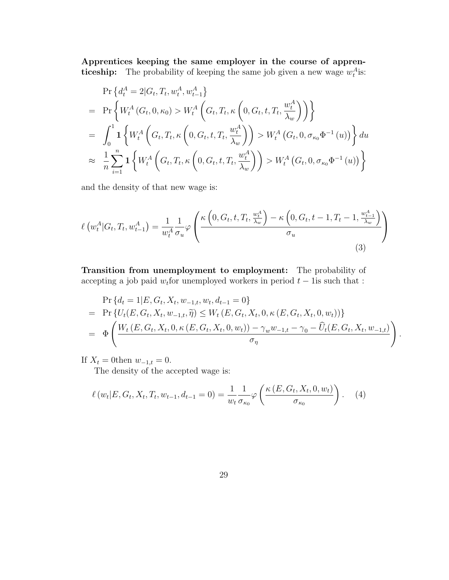Apprentices keeping the same employer in the course of apprenticeship: The probability of keeping the same job given a new wage  $w_t^A$  is:

$$
\Pr\left\{d_{t}^{A} = 2|G_{t}, T_{t}, w_{t}^{A}, w_{t-1}^{A}\right\}
$$
\n
$$
= \Pr\left\{W_{t}^{A}\left(G_{t}, 0, \kappa_{0}\right) > W_{t}^{A}\left(G_{t}, T_{t}, \kappa\left(0, G_{t}, t, T_{t}, \frac{w_{t}^{A}}{\lambda_{w}}\right)\right)\right\}
$$
\n
$$
= \int_{0}^{1} \mathbf{1}\left\{W_{t}^{A}\left(G_{t}, T_{t}, \kappa\left(0, G_{t}, t, T_{t}, \frac{w_{t}^{A}}{\lambda_{w}}\right)\right) > W_{t}^{A}\left(G_{t}, 0, \sigma_{\kappa_{0}} \Phi^{-1}\left(u\right)\right)\right\} du
$$
\n
$$
\approx \frac{1}{n} \sum_{i=1}^{n} \mathbf{1}\left\{W_{t}^{A}\left(G_{t}, T_{t}, \kappa\left(0, G_{t}, t, T_{t}, \frac{w_{t}^{A}}{\lambda_{w}}\right)\right) > W_{t}^{A}\left(G_{t}, 0, \sigma_{\kappa_{0}} \Phi^{-1}\left(u\right)\right)\right\}
$$

and the density of that new wage is:

$$
\ell\left(w_t^A|G_t, T_t, w_{t-1}^A\right) = \frac{1}{w_t^A} \frac{1}{\sigma_u} \varphi\left(\frac{\kappa\left(0, G_t, t, T_t, \frac{w_t^A}{\lambda_w}\right) - \kappa\left(0, G_t, t - 1, T_t - 1, \frac{w_{t-1}^A}{\lambda_w}\right)}{\sigma_u}\right)
$$
\n(3)

Transition from unemployment to employment: The probability of accepting a job paid  $w_t$  for unemployed workers in period  $t - 1$  is such that :

$$
\Pr\{d_t = 1 | E, G_t, X_t, w_{-1,t}, w_t, d_{t-1} = 0\}
$$
\n
$$
= \Pr\{U_t(E, G_t, X_t, w_{-1,t}, \widetilde{\eta}) \le W_t(E, G_t, X_t, 0, \kappa(E, G_t, X_t, 0, w_t))\}
$$
\n
$$
= \Phi\left(\frac{W_t(E, G_t, X_t, 0, \kappa(E, G_t, X_t, 0, w_t)) - \gamma_w w_{-1,t} - \gamma_0 - \widehat{U}_t(E, G_t, X_t, w_{-1,t})}{\sigma_\eta}\right).
$$

If  $X_t = 0$ then  $w_{-1,t} = 0$ .

The density of the accepted wage is:

$$
\ell(w_t|E, G_t, X_t, T_t, w_{t-1}, d_{t-1} = 0) = \frac{1}{w_t} \frac{1}{\sigma_{\kappa_0}} \varphi\left(\frac{\kappa(E, G_t, X_t, 0, w_t)}{\sigma_{\kappa_0}}\right). \tag{4}
$$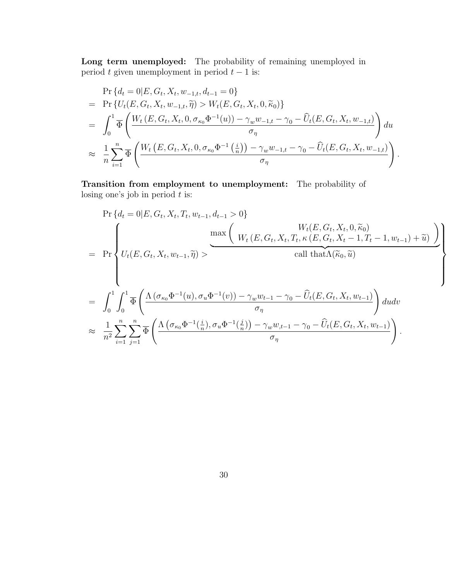Long term unemployed: The probability of remaining unemployed in period t given unemployment in period  $t - 1$  is:

$$
\Pr\{d_t = 0 | E, G_t, X_t, w_{-1,t}, d_{t-1} = 0\}
$$
\n
$$
= \Pr\{U_t(E, G_t, X_t, w_{-1,t}, \tilde{\eta}) > W_t(E, G_t, X_t, 0, \tilde{\kappa}_0)\}
$$
\n
$$
= \int_0^1 \overline{\Phi} \left( \frac{W_t(E, G_t, X_t, 0, \sigma_{\kappa_0} \Phi^{-1}(u)) - \gamma_w w_{-1,t} - \gamma_0 - \hat{U}_t(E, G_t, X_t, w_{-1,t})}{\sigma_\eta} \right) du
$$
\n
$$
\approx \frac{1}{n} \sum_{i=1}^n \overline{\Phi} \left( \frac{W_t(E, G_t, X_t, 0, \sigma_{\kappa_0} \Phi^{-1}(\frac{i}{n})) - \gamma_w w_{-1,t} - \gamma_0 - \hat{U}_t(E, G_t, X_t, w_{-1,t})}{\sigma_\eta} \right)
$$

Transition from employment to unemployment: The probability of losing one's job in period  $t$  is:

$$
\Pr\{d_{t} = 0 | E, G_{t}, X_{t}, T_{t}, w_{t-1}, d_{t-1} > 0\}
$$
\n
$$
= \Pr\left\{\n\begin{array}{l}\nU_{t}(E, G_{t}, X_{t}, T_{t}, w_{t-1}, \tilde{\eta}) & \frac{W_{t}(E, G_{t}, X_{t}, 0, \tilde{\kappa}_{0})}{W_{t}(E, G_{t}, X_{t}, T_{t}, \kappa (E, G_{t}, X_{t} - 1, T_{t} - 1, w_{t-1}) + \tilde{u})}\n\end{array}\n\right\}
$$
\n
$$
= \int_{0}^{1} \int_{0}^{1} \overline{\Phi}\left(\n\frac{\Lambda\left(\sigma_{\kappa_{0}}\Phi^{-1}(u), \sigma_{u}\Phi^{-1}(v)\right) - \gamma_{w}w_{t-1} - \gamma_{0} - \widehat{U}_{t}(E, G_{t}, X_{t}, w_{t-1})}{\sigma_{\eta}}\right) du dv\n\approx \frac{1}{n^{2}} \sum_{i=1}^{n} \sum_{j=1}^{n} \overline{\Phi}\left(\n\frac{\Lambda\left(\sigma_{\kappa_{0}}\Phi^{-1}(\frac{i}{n}), \sigma_{u}\Phi^{-1}(\frac{j}{n})\right) - \gamma_{w}w_{t-1} - \gamma_{0} - \widehat{U}_{t}(E, G_{t}, X_{t}, w_{t-1})}{\sigma_{\eta}}\right) du dv\n\end{array}
$$

.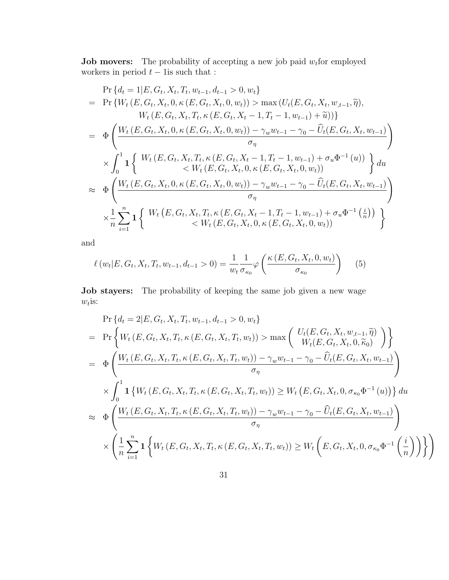**Job movers:** The probability of accepting a new job paid  $w_t$  for employed workers in period  $t - 1$  is such that :

$$
\Pr\{d_t = 1 | E, G_t, X_t, T_t, w_{t-1}, d_{t-1} > 0, w_t\} \n= \Pr\{W_t (E, G_t, X_t, 0, \kappa (E, G_t, X_t, 0, w_t)) > \max (U_t (E, G_t, X_t, w_{t-1}, \tilde{\eta}),
$$
\n
$$
W_t (E, G_t, X_t, T_t, \kappa (E, G_t, X_t - 1, T_t - 1, w_{t-1}) + \tilde{u}))\}
$$
\n
$$
= \Phi\left(\frac{W_t (E, G_t, X_t, 0, \kappa (E, G_t, X_t, 0, w_t)) - \gamma_w w_{t-1} - \gamma_0 - \hat{U}_t (E, G_t, X_t, w_{t-1})}{\sigma_\eta}\right) \times \int_0^1 \mathbf{1} \left\{ W_t (E, G_t, X_t, T_t, \kappa (E, G_t, X_t - 1, T_t - 1, w_{t-1}) + \sigma_u \Phi^{-1}(u)) \atop < W_t (E, G_t, X_t, 0, \kappa (E, G_t, X_t, 0, w_t)) \right\} du \n\approx \Phi\left(\frac{W_t (E, G_t, X_t, 0, \kappa (E, G_t, X_t, 0, w_t)) - \gamma_w w_{t-1} - \gamma_0 - \hat{U}_t (E, G_t, X_t, w_{t-1})}{\sigma_\eta}\right) \times \frac{1}{n} \sum_{i=1}^n \mathbf{1} \left\{ W_t (E, G_t, X_t, T_t, \kappa (E, G_t, X_t - 1, T_t - 1, w_{t-1}) + \sigma_u \Phi^{-1}(\frac{i}{n})) \atop < W_t (E, G_t, X_t, T_t, \kappa (E, G_t, X_t, 0, \kappa (E, G_t, X_t, 0, w_t)) \right\}
$$

and

$$
\ell(w_t|E, G_t, X_t, T_t, w_{t-1}, d_{t-1} > 0) = \frac{1}{w_t} \frac{1}{\sigma_{\kappa_0}} \varphi\left(\frac{\kappa(E, G_t, X_t, 0, w_t)}{\sigma_{\kappa_0}}\right) \tag{5}
$$

Job stayers: The probability of keeping the same job given a new wage  $w_t$ is:

$$
\Pr\{d_{t} = 2|E, G_{t}, X_{t}, T_{t}, w_{t-1}, d_{t-1} > 0, w_{t}\}\
$$
\n
$$
= \Pr\{W_{t}(E, G_{t}, X_{t}, T_{t}, \kappa (E, G_{t}, X_{t}, T_{t}, w_{t})) > \max\left(\frac{U_{t}(E, G_{t}, X_{t}, w_{t-1}, \tilde{\eta})}{W_{t}(E, G_{t}, X_{t}, 0, \tilde{\kappa}_{0})}\right)\}\
$$
\n
$$
= \Phi\left(\frac{W_{t}(E, G_{t}, X_{t}, T_{t}, \kappa (E, G_{t}, X_{t}, T_{t}, w_{t})) - \gamma_{w}w_{t-1} - \gamma_{0} - \hat{U}_{t}(E, G_{t}, X_{t}, w_{t-1})}{\sigma_{\eta}}\right)
$$
\n
$$
\times \int_{0}^{1} \mathbf{1}\left\{W_{t}(E, G_{t}, X_{t}, T_{t}, \kappa (E, G_{t}, X_{t}, T_{t}, w_{t})) \geq W_{t}(E, G_{t}, X_{t}, 0, \sigma_{\kappa_{0}} \Phi^{-1}(u))\right\} du
$$
\n
$$
\approx \Phi\left(\frac{W_{t}(E, G_{t}, X_{t}, T_{t}, \kappa (E, G_{t}, X_{t}, T_{t}, w_{t})) - \gamma_{w}w_{t-1} - \gamma_{0} - \hat{U}_{t}(E, G_{t}, X_{t}, w_{t-1})}{\sigma_{\eta}}\right)
$$
\n
$$
\times \left(\frac{1}{n} \sum_{i=1}^{n} \mathbf{1}\left\{W_{t}(E, G_{t}, X_{t}, T_{t}, \kappa (E, G_{t}, X_{t}, T_{t}, w_{t})) \geq W_{t}\left(E, G_{t}, X_{t}, 0, \sigma_{\kappa_{0}} \Phi^{-1}\left(\frac{i}{n}\right)\right)\right\}\right)
$$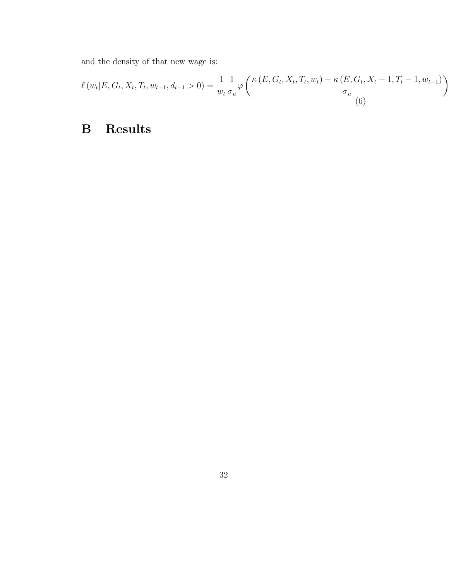and the density of that new wage is:

$$
\ell(w_t|E, G_t, X_t, T_t, w_{t-1}, d_{t-1} > 0) = \frac{1}{w_t} \frac{1}{\sigma_u} \varphi \left( \frac{\kappa(E, G_t, X_t, T_t, w_t) - \kappa(E, G_t, X_t - 1, T_t - 1, w_{t-1})}{\sigma_u} \right)
$$
\n(6)

# B Results